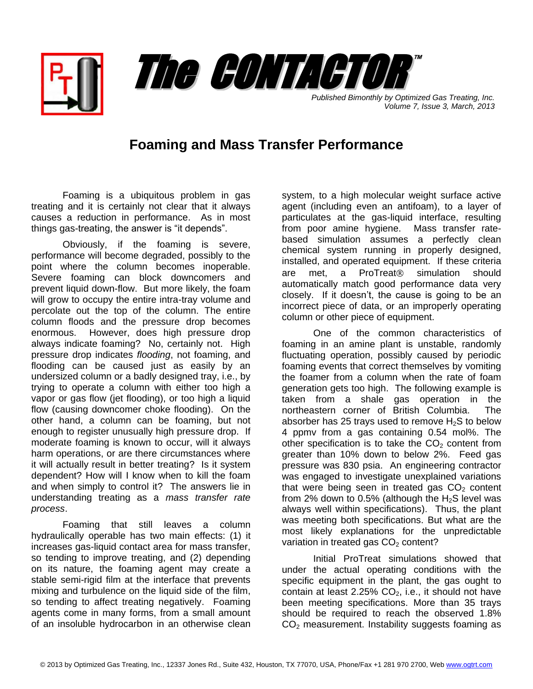



*Published Bimonthly by Optimized Gas Treating, Inc. Volume 7, Issue 3, March, 2013*

## **Foaming and Mass Transfer Performance**

Foaming is a ubiquitous problem in gas treating and it is certainly not clear that it always causes a reduction in performance. As in most things gas-treating, the answer is "it depends".

Obviously, if the foaming is severe, performance will become degraded, possibly to the point where the column becomes inoperable. Severe foaming can block downcomers and prevent liquid down-flow. But more likely, the foam will grow to occupy the entire intra-tray volume and percolate out the top of the column. The entire column floods and the pressure drop becomes enormous. However, does high pressure drop always indicate foaming? No, certainly not. High pressure drop indicates *flooding*, not foaming, and flooding can be caused just as easily by an undersized column or a badly designed tray, i.e., by trying to operate a column with either too high a vapor or gas flow (jet flooding), or too high a liquid flow (causing downcomer choke flooding). On the other hand, a column can be foaming, but not enough to register unusually high pressure drop. If moderate foaming is known to occur, will it always harm operations, or are there circumstances where it will actually result in better treating? Is it system dependent? How will I know when to kill the foam and when simply to control it? The answers lie in understanding treating as a *mass transfer rate process*.

Foaming that still leaves a column hydraulically operable has two main effects: (1) it increases gas-liquid contact area for mass transfer, so tending to improve treating, and (2) depending on its nature, the foaming agent may create a stable semi-rigid film at the interface that prevents mixing and turbulence on the liquid side of the film, so tending to affect treating negatively. Foaming agents come in many forms, from a small amount of an insoluble hydrocarbon in an otherwise clean

system, to a high molecular weight surface active agent (including even an antifoam), to a layer of particulates at the gas-liquid interface, resulting from poor amine hygiene. Mass transfer ratebased simulation assumes a perfectly clean chemical system running in properly designed, installed, and operated equipment. If these criteria are met, a ProTreat<sup>®</sup> simulation should automatically match good performance data very closely. If it doesn't, the cause is going to be an incorrect piece of data, or an improperly operating column or other piece of equipment.

One of the common characteristics of foaming in an amine plant is unstable, randomly fluctuating operation, possibly caused by periodic foaming events that correct themselves by vomiting the foamer from a column when the rate of foam generation gets too high. The following example is taken from a shale gas operation in the northeastern corner of British Columbia. The absorber has 25 trays used to remove  $H_2S$  to below 4 ppmv from a gas containing 0.54 mol%. The other specification is to take the  $CO<sub>2</sub>$  content from greater than 10% down to below 2%. Feed gas pressure was 830 psia. An engineering contractor was engaged to investigate unexplained variations that were being seen in treated gas  $CO<sub>2</sub>$  content from 2% down to 0.5% (although the  $H_2S$  level was always well within specifications). Thus, the plant was meeting both specifications. But what are the most likely explanations for the unpredictable variation in treated gas  $CO<sub>2</sub>$  content?

Initial ProTreat simulations showed that under the actual operating conditions with the specific equipment in the plant, the gas ought to contain at least 2.25%  $CO<sub>2</sub>$ , i.e., it should not have been meeting specifications. More than 35 trays should be required to reach the observed 1.8%  $CO<sub>2</sub>$  measurement. Instability suggests foaming as